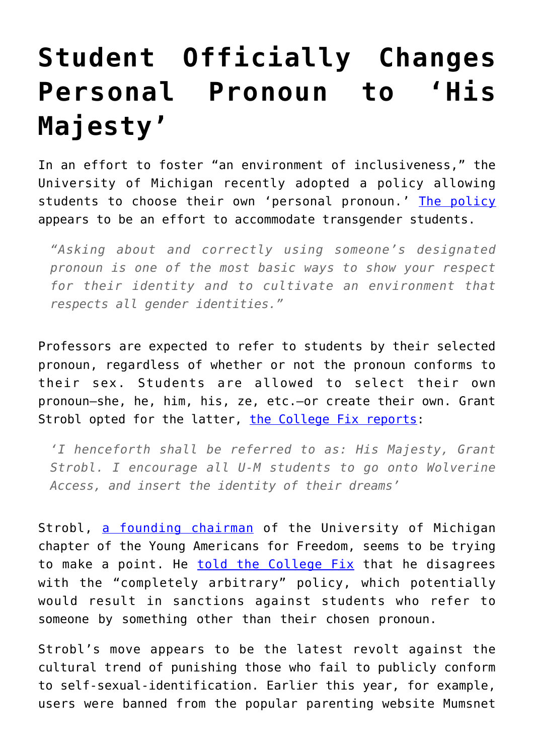## **[Student Officially Changes](https://intellectualtakeout.org/2016/09/student-officially-changes-personal-pronoun-to-his-majesty/) [Personal Pronoun to 'His](https://intellectualtakeout.org/2016/09/student-officially-changes-personal-pronoun-to-his-majesty/) [Majesty'](https://intellectualtakeout.org/2016/09/student-officially-changes-personal-pronoun-to-his-majesty/)**

In an effort to foster "an environment of inclusiveness," the University of Michigan recently adopted a policy allowing students to choose their own 'personal pronoun.' [The policy](http://record.umich.edu/articles/students-now-may-designate-personal-pronouns-class-rosters) appears to be an effort to accommodate transgender students.

*"Asking about and correctly using someone's designated pronoun is one of the most basic ways to show your respect for their identity and to cultivate an environment that respects all gender identities."*

Professors are expected to refer to students by their selected pronoun, regardless of whether or not the pronoun conforms to their sex. Students are allowed to select their own pronoun—she, he, him, his, ze, etc.—or create their own. Grant Strobl opted for the latter, [the College Fix reports](http://www.thecollegefix.com/post/29230/):

*'I henceforth shall be referred to as: His Majesty, Grant Strobl. I encourage all U-M students to go onto Wolverine Access, and insert the identity of their dreams'*

Strobl, [a founding chairman](http://www.yaf.org/staff/grant-strobl/) of the University of Michigan chapter of the Young Americans for Freedom, seems to be trying to make a point. He [told the College Fix](http://www.thecollegefix.com/post/29230/) that he disagrees with the "completely arbitrary" policy, which potentially would result in sanctions against students who refer to someone by something other than their chosen pronoun.

Strobl's move appears to be the latest revolt against the cultural trend of punishing those who fail to publicly conform to self-sexual-identification. Earlier this year, for example, users were banned from the popular parenting website Mumsnet